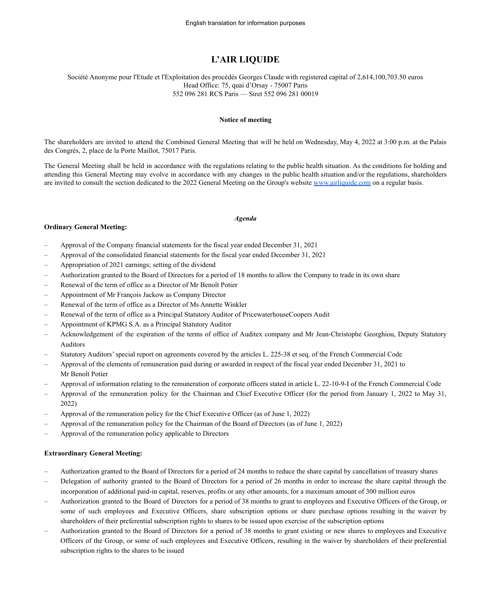# **L'AIR LIQUIDE**

#### Société Anonyme pour l'Etude et l'Exploitation des procédés Georges Claude with registered capital of 2,614,100,703.50 euros Head Office: 75, quai d'Orsay - 75007 Paris 552 096 281 RCS Paris — Siret 552 096 281 00019

#### **Notice of meeting**

The shareholders are invited to attend the Combined General Meeting that will be held on Wednesday, May 4, 2022 at 3:00 p.m. at the Palais des Congrès, 2, place de la Porte Maillot, 75017 Paris.

The General Meeting shall be held in accordance with the regulations relating to the public health situation. As the conditions for holding and attending this General Meeting may evolve in accordance with any changes in the public health situation and/or the regulations, shareholders are invited to consult the section dedicated to the 2022 General Meeting on the Group's website [www.airliquide.com](http://www.airliquide.com) on a regular basis.

#### *Agenda*

#### **Ordinary General Meeting:**

- Approval of the Company financial statements for the fiscal year ended December 31, 2021
- Approval of the consolidated financial statements for the fiscal year ended December 31, 2021
- Appropriation of 2021 earnings; setting of the dividend
- Authorization granted to the Board of Directors for a period of 18 months to allow the Company to trade in its own share
- Renewal of the term of office as a Director of Mr Benoît Potier
- Appointment of Mr François Jackow as Company Director
- Renewal of the term of office as a Director of Ms Annette Winkler
- Renewal of the term of office as a Principal Statutory Auditor of PricewaterhouseCoopers Audit
- Appointment of KPMG S.A. as a Principal Statutory Auditor
- Acknowledgement of the expiration of the terms of office of Auditex company and Mr Jean-Christophe Georghiou, Deputy Statutory Auditors
- Statutory Auditors' special report on agreements covered by the articles L. 225-38 et seq. of the French Commercial Code
- Approval of the elements of remuneration paid during or awarded in respect of the fiscal year ended December 31, 2021 to Mr Benoît Potier
- Approval of information relating to the remuneration of corporate officers stated in article L. 22-10-9-I of the French Commercial Code
- Approval of the remuneration policy for the Chairman and Chief Executive Officer (for the period from January 1, 2022 to May 31, 2022)
- Approval of the remuneration policy for the Chief Executive Officer (as of June 1, 2022)
- Approval of the remuneration policy for the Chairman of the Board of Directors (as of June 1, 2022)
- Approval of the remuneration policy applicable to Directors

### **Extraordinary General Meeting:**

- Authorization granted to the Board of Directors for a period of 24 months to reduce the share capital by cancellation of treasury shares
- Delegation of authority granted to the Board of Directors for a period of 26 months in order to increase the share capital through the incorporation of additional paid-in capital, reserves, profits or any other amounts, for a maximum amount of 300 million euros
- Authorization granted to the Board of Directors for a period of 38 months to grant to employees and Executive Officers of the Group, or some of such employees and Executive Officers, share subscription options or share purchase options resulting in the waiver by shareholders of their preferential subscription rights to shares to be issued upon exercise of the subscription options
- Authorization granted to the Board of Directors for a period of 38 months to grant existing or new shares to employees and Executive Officers of the Group, or some of such employees and Executive Officers, resulting in the waiver by shareholders of their preferential subscription rights to the shares to be issued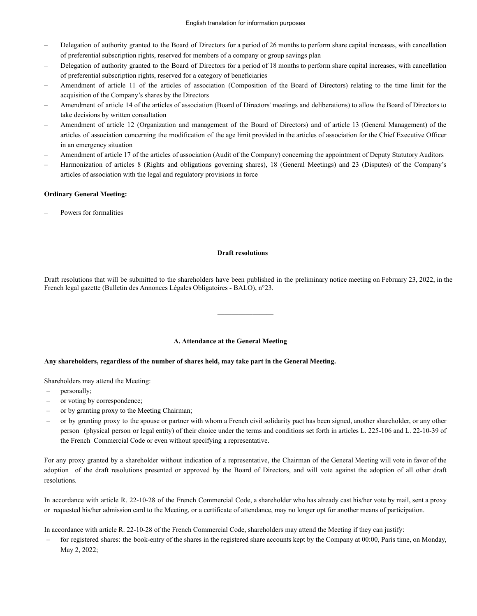- Delegation of authority granted to the Board of Directors for a period of 26 months to perform share capital increases, with cancellation of preferential subscription rights, reserved for members of a company or group savings plan
- Delegation of authority granted to the Board of Directors for a period of 18 months to perform share capital increases, with cancellation of preferential subscription rights, reserved for a category of beneficiaries
- Amendment of article 11 of the articles of association (Composition of the Board of Directors) relating to the time limit for the acquisition of the Company's shares by the Directors
- Amendment of article 14 of the articles of association (Board of Directors' meetings and deliberations) to allow the Board of Directors to take decisions by written consultation
- Amendment of article 12 (Organization and management of the Board of Directors) and of article 13 (General Management) of the articles of association concerning the modification of the age limit provided in the articles of association for the Chief Executive Officer in an emergency situation
- Amendment of article 17 of the articles of association (Audit of the Company) concerning the appointment of Deputy Statutory Auditors
- Harmonization of articles 8 (Rights and obligations governing shares), 18 (General Meetings) and 23 (Disputes) of the Company's articles of association with the legal and regulatory provisions in force

# **Ordinary General Meeting:**

– Powers for formalities

### **Draft resolutions**

Draft resolutions that will be submitted to the shareholders have been published in the preliminary notice meeting on February 23, 2022, in the French legal gazette (Bulletin des Annonces Légales Obligatoires - BALO), n°23.

————————————————————

### **A. Attendance at the General Meeting**

### **Any shareholders, regardless of the number of shares held, may take part in the General Meeting.**

Shareholders may attend the Meeting:

- personally;
- or voting by correspondence;
- or by granting proxy to the Meeting Chairman;
- or by granting proxy to the spouse or partner with whom a French civil solidarity pact has been signed, another shareholder, or any other person (physical person or legal entity) of their choice under the terms and conditions set forth in articles L. 225-106 and L. 22-10-39 of the French Commercial Code or even without specifying a representative.

For any proxy granted by a shareholder without indication of a representative, the Chairman of the General Meeting will vote in favor of the adoption of the draft resolutions presented or approved by the Board of Directors, and will vote against the adoption of all other draft resolutions.

In accordance with article R. 22-10-28 of the French Commercial Code, a shareholder who has already cast his/her vote by mail, sent a proxy or requested his/her admission card to the Meeting, or a certificate of attendance, may no longer opt for another means of participation.

In accordance with article R. 22-10-28 of the French Commercial Code, shareholders may attend the Meeting if they can justify:

– for registered shares: the book-entry of the shares in the registered share accounts kept by the Company at 00:00, Paris time, on Monday, May 2, 2022;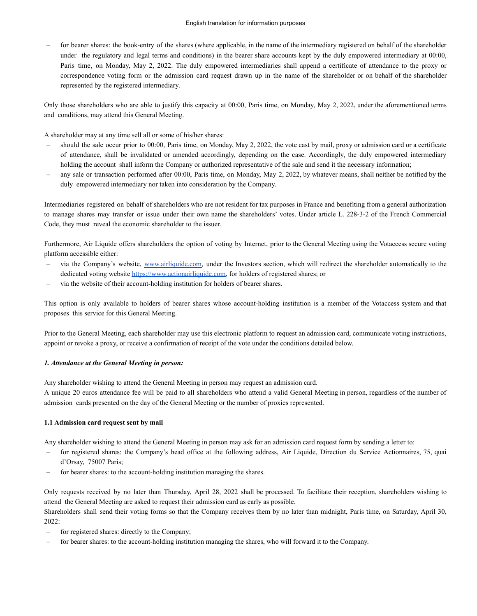– for bearer shares: the book-entry of the shares (where applicable, in the name of the intermediary registered on behalf of the shareholder under the regulatory and legal terms and conditions) in the bearer share accounts kept by the duly empowered intermediary at 00:00, Paris time, on Monday, May 2, 2022. The duly empowered intermediaries shall append a certificate of attendance to the proxy or correspondence voting form or the admission card request drawn up in the name of the shareholder or on behalf of the shareholder represented by the registered intermediary.

Only those shareholders who are able to justify this capacity at 00:00, Paris time, on Monday, May 2, 2022, under the aforementioned terms and conditions, may attend this General Meeting.

A shareholder may at any time sell all or some of his/her shares:

- should the sale occur prior to 00:00, Paris time, on Monday, May 2, 2022, the vote cast by mail, proxy or admission card or a certificate of attendance, shall be invalidated or amended accordingly, depending on the case. Accordingly, the duly empowered intermediary holding the account shall inform the Company or authorized representative of the sale and send it the necessary information;
- any sale or transaction performed after 00:00, Paris time, on Monday, May 2, 2022, by whatever means, shall neither be notified by the duly empowered intermediary nor taken into consideration by the Company.

Intermediaries registered on behalf of shareholders who are not resident for tax purposes in France and benefiting from a general authorization to manage shares may transfer or issue under their own name the shareholders' votes. Under article L. 228-3-2 of the French Commercial Code, they must reveal the economic shareholder to the issuer.

Furthermore, Air Liquide offers shareholders the option of voting by Internet, prior to the General Meeting using the Votaccess secure voting platform accessible either:

- via the Company's website, [www.airliquide.com,](http://www.airliquide.com) under the Investors section, which will redirect the shareholder automatically to the dedicated voting website [https://www.actionairliquide.com,](https://www.actionairliquide.com) for holders of registered shares; or
- via the website of their account-holding institution for holders of bearer shares.

This option is only available to holders of bearer shares whose account-holding institution is a member of the Votaccess system and that proposes this service for this General Meeting.

Prior to the General Meeting, each shareholder may use this electronic platform to request an admission card, communicate voting instructions, appoint or revoke a proxy, or receive a confirmation of receipt of the vote under the conditions detailed below.

### *1. Attendance at the General Meeting in person:*

Any shareholder wishing to attend the General Meeting in person may request an admission card.

A unique 20 euros attendance fee will be paid to all shareholders who attend a valid General Meeting in person, regardless of the number of admission cards presented on the day of the General Meeting or the number of proxies represented.

### **1.1 Admission card request sent by mail**

Any shareholder wishing to attend the General Meeting in person may ask for an admission card request form by sending a letter to:

- for registered shares: the Company's head office at the following address, Air Liquide, Direction du Service Actionnaires, 75, quai d'Orsay, 75007 Paris;
- for bearer shares: to the account-holding institution managing the shares.

Only requests received by no later than Thursday, April 28, 2022 shall be processed. To facilitate their reception, shareholders wishing to attend the General Meeting are asked to request their admission card as early as possible.

Shareholders shall send their voting forms so that the Company receives them by no later than midnight, Paris time, on Saturday, April 30, 2022:

- for registered shares: directly to the Company;
- for bearer shares: to the account-holding institution managing the shares, who will forward it to the Company.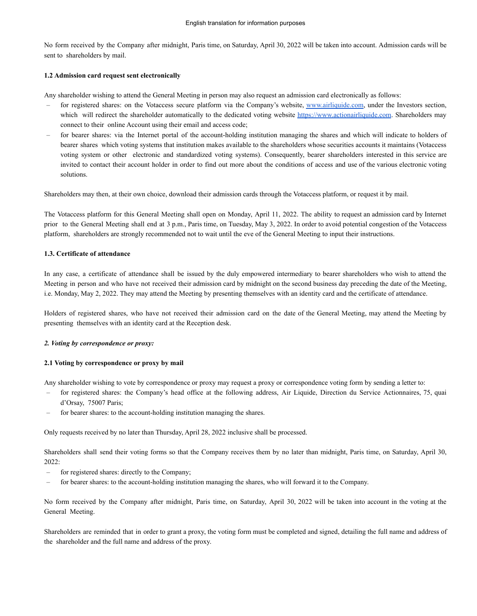No form received by the Company after midnight, Paris time, on Saturday, April 30, 2022 will be taken into account. Admission cards will be sent to shareholders by mail.

## **1.2 Admission card request sent electronically**

Any shareholder wishing to attend the General Meeting in person may also request an admission card electronically as follows:

- for registered shares: on the Votaccess secure platform via the Company's website, [www.airliquide.com,](http://www.airliquide.com) under the Investors section, which will redirect the shareholder automatically to the dedicated voting website <https://www.actionairliquide.com>. Shareholders may connect to their online Account using their email and access code;
- for bearer shares: via the Internet portal of the account-holding institution managing the shares and which will indicate to holders of bearer shares which voting systems that institution makes available to the shareholders whose securities accounts it maintains (Votaccess voting system or other electronic and standardized voting systems). Consequently, bearer shareholders interested in this service are invited to contact their account holder in order to find out more about the conditions of access and use of the various electronic voting solutions.

Shareholders may then, at their own choice, download their admission cards through the Votaccess platform, or request it by mail.

The Votaccess platform for this General Meeting shall open on Monday, April 11, 2022. The ability to request an admission card by Internet prior to the General Meeting shall end at 3 p.m., Paris time, on Tuesday, May 3, 2022. In order to avoid potential congestion of the Votaccess platform, shareholders are strongly recommended not to wait until the eve of the General Meeting to input their instructions.

# **1.3. Certificate of attendance**

In any case, a certificate of attendance shall be issued by the duly empowered intermediary to bearer shareholders who wish to attend the Meeting in person and who have not received their admission card by midnight on the second business day preceding the date of the Meeting, i.e. Monday, May 2, 2022. They may attend the Meeting by presenting themselves with an identity card and the certificate of attendance.

Holders of registered shares, who have not received their admission card on the date of the General Meeting, may attend the Meeting by presenting themselves with an identity card at the Reception desk.

# *2. Voting by correspondence or proxy:*

### **2.1 Voting by correspondence or proxy by mail**

Any shareholder wishing to vote by correspondence or proxy may request a proxy or correspondence voting form by sending a letter to:

- for registered shares: the Company's head office at the following address, Air Liquide, Direction du Service Actionnaires, 75, quai d'Orsay, 75007 Paris;
- for bearer shares: to the account-holding institution managing the shares.

Only requests received by no later than Thursday, April 28, 2022 inclusive shall be processed.

Shareholders shall send their voting forms so that the Company receives them by no later than midnight, Paris time, on Saturday, April 30, 2022:

- for registered shares: directly to the Company;
- for bearer shares: to the account-holding institution managing the shares, who will forward it to the Company.

No form received by the Company after midnight, Paris time, on Saturday, April 30, 2022 will be taken into account in the voting at the General Meeting.

Shareholders are reminded that in order to grant a proxy, the voting form must be completed and signed, detailing the full name and address of the shareholder and the full name and address of the proxy.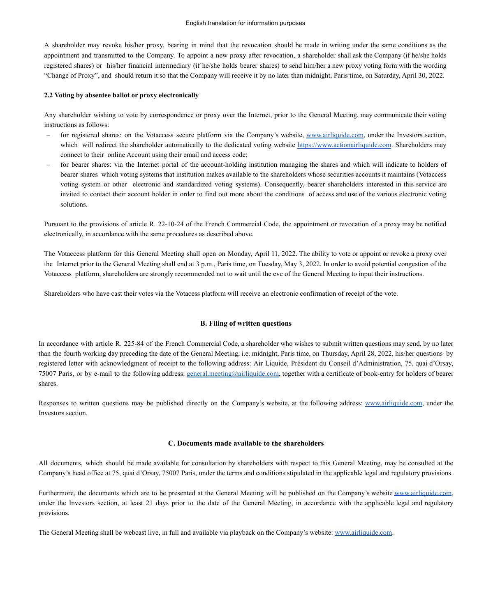A shareholder may revoke his/her proxy, bearing in mind that the revocation should be made in writing under the same conditions as the appointment and transmitted to the Company. To appoint a new proxy after revocation, a shareholder shall ask the Company (if he/she holds registered shares) or his/her financial intermediary (if he/she holds bearer shares) to send him/her a new proxy voting form with the wording "Change of Proxy", and should return it so that the Company will receive it by no later than midnight, Paris time, on Saturday, April 30, 2022.

#### **2.2 Voting by absentee ballot or proxy electronically**

Any shareholder wishing to vote by correspondence or proxy over the Internet, prior to the General Meeting, may communicate their voting instructions as follows:

- for registered shares: on the Votaccess secure platform via the Company's website, [www.airliquide.com,](http://www.airliquide.com) under the Investors section, which will redirect the shareholder automatically to the dedicated voting website <https://www.actionairliquide.com>. Shareholders may connect to their online Account using their email and access code;
- for bearer shares: via the Internet portal of the account-holding institution managing the shares and which will indicate to holders of bearer shares which voting systems that institution makes available to the shareholders whose securities accounts it maintains (Votaccess voting system or other electronic and standardized voting systems). Consequently, bearer shareholders interested in this service are invited to contact their account holder in order to find out more about the conditions of access and use of the various electronic voting solutions.

Pursuant to the provisions of article R. 22-10-24 of the French Commercial Code, the appointment or revocation of a proxy may be notified electronically, in accordance with the same procedures as described above.

The Votaccess platform for this General Meeting shall open on Monday, April 11, 2022. The ability to vote or appoint or revoke a proxy over the Internet prior to the General Meeting shall end at 3 p.m., Paris time, on Tuesday, May 3, 2022. In order to avoid potential congestion of the Votaccess platform, shareholders are strongly recommended not to wait until the eve of the General Meeting to input their instructions.

Shareholders who have cast their votes via the Votacess platform will receive an electronic confirmation of receipt of the vote.

### **B. Filing of written questions**

In accordance with article R. 225-84 of the French Commercial Code, a shareholder who wishes to submit written questions may send, by no later than the fourth working day preceding the date of the General Meeting, i.e. midnight, Paris time, on Thursday, April 28, 2022, his/her questions by registered letter with acknowledgment of receipt to the following address: Air Liquide, Président du Conseil d'Administration, 75, quai d'Orsay, 75007 Paris, or by e-mail to the following address: [general.meeting@airliquide.com](mailto:general.meeting@airliquide.com), together with a certificate of book-entry for holders of bearer shares.

Responses to written questions may be published directly on the Company's website, at the following address: [www.airliquide.com](http://www.airliquide.com), under the Investors section.

### **C. Documents made available to the shareholders**

All documents, which should be made available for consultation by shareholders with respect to this General Meeting, may be consulted at the Company's head office at 75, quai d'Orsay, 75007 Paris, under the terms and conditions stipulated in the applicable legal and regulatory provisions.

Furthermore, the documents which are to be presented at the General Meeting will be published on the Company's website [www.airliquide.com,](http://www.airliquide.com) under the Investors section, at least 21 days prior to the date of the General Meeting, in accordance with the applicable legal and regulatory provisions.

The General Meeting shall be webcast live, in full and available via playback on the Company's website: [www.airliquide.com](http://www.airliquide.com).